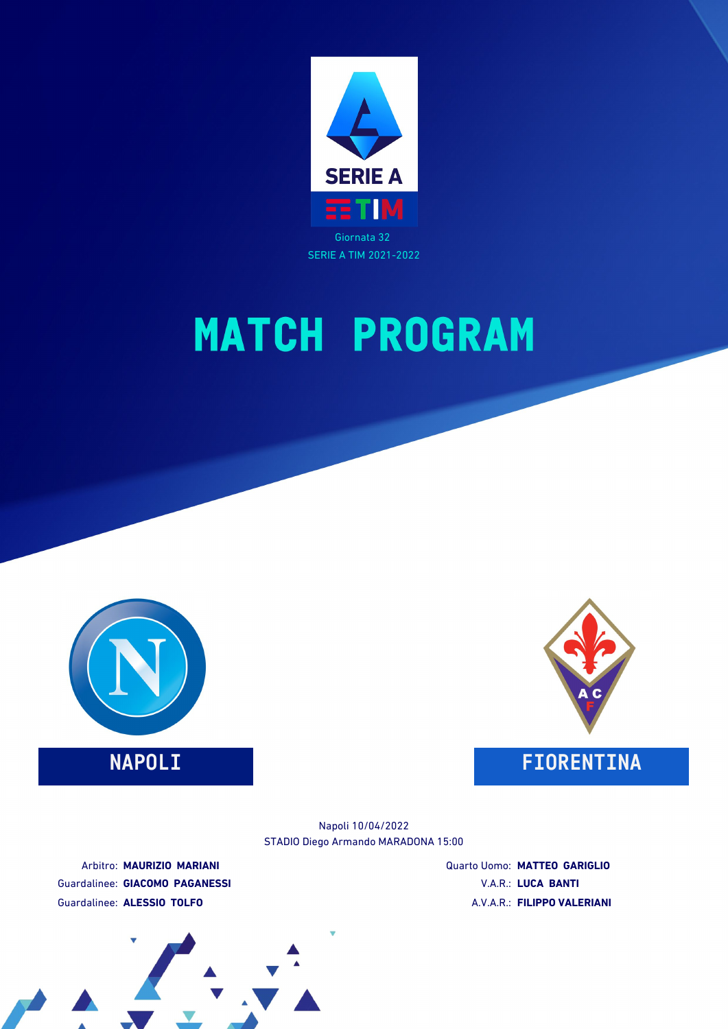



### **NAPOLI FIORENTINA**



STADIO Diego Armando MARADONA 15:00 Napoli 10/04/2022

Arbitro: **MAURIZIO MARIANI** Guardalinee: **GIACOMO PAGANESSI** Guardalinee: **ALESSIO TOLFO**

Quarto Uomo: **MATTEO GARIGLIO** V.A.R.: **LUCA BANTI** A.V.A.R.: **FILIPPO VALERIANI**

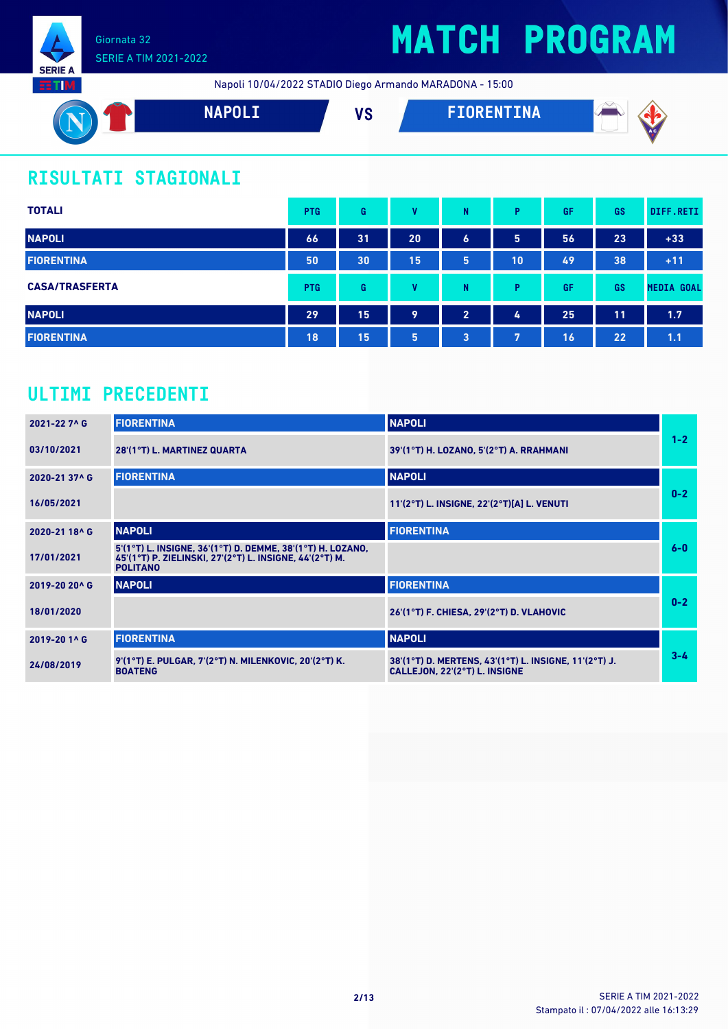

## **MATCH PROGRAM**

Napoli 10/04/2022 STADIO Diego Armando MARADONA - 15:00



### **RISULTATI STAGIONALI**

| <b>TOTALI</b>         | <b>PTG</b> | G  | v            | N                | P  | GF | <b>GS</b> | DIFF.RETI         |
|-----------------------|------------|----|--------------|------------------|----|----|-----------|-------------------|
| <b>NAPOLI</b>         | 66         | 31 | 20           | $\boldsymbol{6}$ | 5  | 56 | 23        | $+33$             |
| <b>FIORENTINA</b>     | 50         | 30 | 15           | 5                | 10 | 49 | 38        | $+11$             |
| <b>CASA/TRASFERTA</b> | <b>PTG</b> | G  | $\mathbf{u}$ | N                | P  | GF | GS        | <b>MEDIA GOAL</b> |
| <b>NAPOLI</b>         | 29         | 15 | 9            | $\overline{2}$   | 4  | 25 | 11        | 1.7               |
| <b>FIORENTINA</b>     | 18         | 15 | 5            | 3                | 7  | 16 | 22        | 1.1               |

### **ULTIMI PRECEDENTI**

| 2021-22 7^ G  | <b>FIORENTINA</b>                                                                                                                        | <b>NAPOLI</b>                                                                          |         |
|---------------|------------------------------------------------------------------------------------------------------------------------------------------|----------------------------------------------------------------------------------------|---------|
| 03/10/2021    | 28'(1°T) L. MARTINEZ QUARTA                                                                                                              | 39'(1°T) H. LOZANO, 5'(2°T) A. RRAHMANI                                                | $1 - 2$ |
| 2020-21 37^ G | <b>FIORENTINA</b>                                                                                                                        | <b>NAPOLI</b>                                                                          |         |
| 16/05/2021    |                                                                                                                                          | 11'(2°T) L. INSIGNE, 22'(2°T)[A] L. VENUTI                                             | $0 - 2$ |
| 2020-21 18^ G | <b>NAPOLI</b>                                                                                                                            | <b>FIORENTINA</b>                                                                      |         |
| 17/01/2021    | 5'(1°T) L. INSIGNE, 36'(1°T) D. DEMME, 38'(1°T) H. LOZANO,<br>45'(1°T) P. ZIELINSKI, 27'(2°T) L. INSIGNE, 44'(2°T) M.<br><b>POLITANO</b> |                                                                                        | $6-0$   |
| 2019-20 20^ G | <b>NAPOLI</b>                                                                                                                            | <b>FIORENTINA</b>                                                                      |         |
| 18/01/2020    |                                                                                                                                          | 26'(1°T) F. CHIESA, 29'(2°T) D. VLAHOVIC                                               | $0 - 2$ |
| 2019-20 1^ G  | <b>FIORENTINA</b>                                                                                                                        | <b>NAPOLI</b>                                                                          |         |
| 24/08/2019    | 9'(1°T) E. PULGAR, 7'(2°T) N. MILENKOVIC, 20'(2°T) K.<br><b>BOATENG</b>                                                                  | 38'(1°T) D. MERTENS, 43'(1°T) L. INSIGNE, 11'(2°T) J.<br>CALLEJON. 22'(2°T) L. INSIGNE | $3 - 4$ |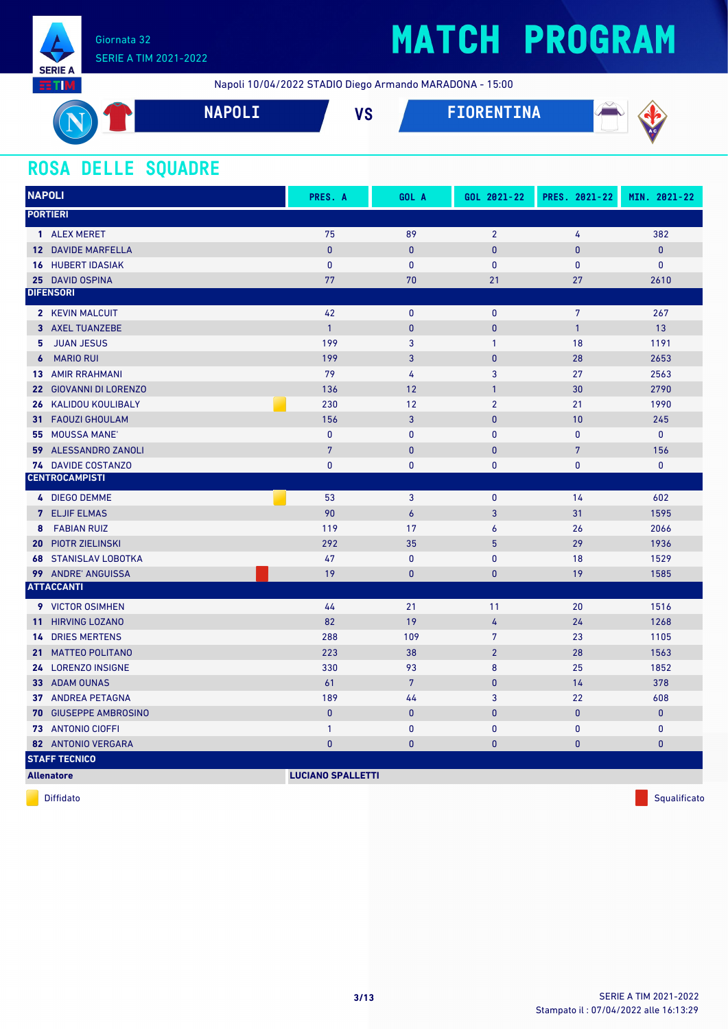

## **MATCH PROGRAM**

Napoli 10/04/2022 STADIO Diego Armando MARADONA - 15:00



### **ROSA DELLE SQUADRE**

| <b>NAPOLI</b>                            | PRES. A                  | GOL A          | GOL 2021-22    | PRES. 2021-22  | MIN. 2021-22 |
|------------------------------------------|--------------------------|----------------|----------------|----------------|--------------|
| <b>PORTIERI</b>                          |                          |                |                |                |              |
| 1 ALEX MERET                             | 75                       | 89             | $\overline{2}$ | 4              | 382          |
| <b>12 DAVIDE MARFELLA</b>                | $\mathbf{0}$             | $\mathbf{0}$   | $\mathbf{0}$   | 0              | $\pmb{0}$    |
| <b>16 HUBERT IDASIAK</b>                 | $\mathbf{0}$             | $\bf{0}$       | 0              | 0              | $\mathbf 0$  |
| 25 DAVID OSPINA                          | 77                       | 70             | 21             | 27             | 2610         |
| <b>DIFENSORI</b>                         |                          |                |                |                |              |
| 2 KEVIN MALCUIT                          | 42                       | $\mathbf{0}$   | 0              | $\overline{7}$ | 267          |
| 3 AXEL TUANZEBE                          | $\mathbf{1}$             | $\mathbf 0$    | $\mathbf{0}$   | $\mathbf{1}$   | 13           |
| <b>JUAN JESUS</b><br>5.                  | 199                      | 3              | $\mathbf{1}$   | 18             | 1191         |
| <b>MARIO RUI</b><br>$\boldsymbol{6}$     | 199                      | 3              | $\mathbf{0}$   | 28             | 2653         |
| <b>13 AMIR RRAHMANI</b>                  | 79                       | $\overline{4}$ | 3              | 27             | 2563         |
| 22 GIOVANNI DI LORENZO                   | 136                      | 12             | $\mathbf{1}$   | 30             | 2790         |
| <b>26 KALIDOU KOULIBALY</b>              | 230                      | 12             | $\overline{2}$ | 21             | 1990         |
| <b>FAOUZI GHOULAM</b><br>31 <sup>2</sup> | 156                      | 3              | $\pmb{0}$      | 10             | 245          |
| <b>MOUSSA MANE</b><br>55                 | $\mathbf{0}$             | $\mathbf{0}$   | $\mathbf{0}$   | 0              | $\mathbf{0}$ |
| ALESSANDRO ZANOLI<br>59                  | $7\phantom{.}$           | $\mathbf{0}$   | $\mathbf{0}$   | 7              | 156          |
| 74 DAVIDE COSTANZO                       | $\pmb{0}$                | $\pmb{0}$      | 0              | 0              | $\mathbf 0$  |
| <b>CENTROCAMPISTI</b>                    |                          |                |                |                |              |
| 4 DIEGO DEMME                            | 53                       | 3              | 0              | 14             | 602          |
| <b>7 ELJIF ELMAS</b>                     | 90                       | $\overline{6}$ | 3              | 31             | 1595         |
| <b>FABIAN RUIZ</b><br>8                  | 119                      | 17             | 6              | 26             | 2066         |
| <b>20 PIOTR ZIELINSKI</b>                | 292                      | 35             | 5              | 29             | 1936         |
| <b>68 STANISLAV LOBOTKA</b>              | 47                       | $\mathbf{0}$   | $\mathbf{0}$   | 18             | 1529         |
| 99 ANDRE' ANGUISSA                       | 19                       | $\mathbf{0}$   | $\mathbf{0}$   | 19             | 1585         |
| <b>ATTACCANTI</b>                        |                          |                |                |                |              |
| 9 VICTOR OSIMHEN                         | 44                       | 21             | 11             | 20             | 1516         |
| <b>HIRVING LOZANO</b><br>11 <sup>1</sup> | 82                       | 19             | 4              | 24             | 1268         |
| <b>DRIES MERTENS</b><br>14 <sup>1</sup>  | 288                      | 109            | $\overline{7}$ | 23             | 1105         |
| <b>MATTEO POLITANO</b><br>21             | 223                      | 38             | $\overline{2}$ | 28             | 1563         |
| 24 LORENZO INSIGNE                       | 330                      | 93             | 8              | 25             | 1852         |
| 33 ADAM OUNAS                            | 61                       | $\overline{7}$ | $\pmb{0}$      | 14             | 378          |
| <b>37 ANDREA PETAGNA</b>                 | 189                      | 44             | 3              | 22             | 608          |
| <b>70 GIUSEPPE AMBROSINO</b>             | $\mathbf{0}$             | $\bf{0}$       | $\mathbf{0}$   | 0              | $\mathbf{0}$ |
| 73 ANTONIO CIOFFI                        | $\mathbf{1}$             | $\pmb{0}$      | $\mathbf{0}$   | 0              | $\pmb{0}$    |
| 82 ANTONIO VERGARA                       | $\bf{0}$                 | $\bf{0}$       | $\bf{0}$       | 0              | $\pmb{0}$    |
| <b>STAFF TECNICO</b>                     |                          |                |                |                |              |
| <b>Allenatore</b>                        | <b>LUCIANO SPALLETTI</b> |                |                |                |              |

diffidato de la contradicción de la contradicción de la contradicción de la contradicción de la contradicción de Squalificato de la contradicción de la contradicción de la contradicción de la contradicción de la contradicc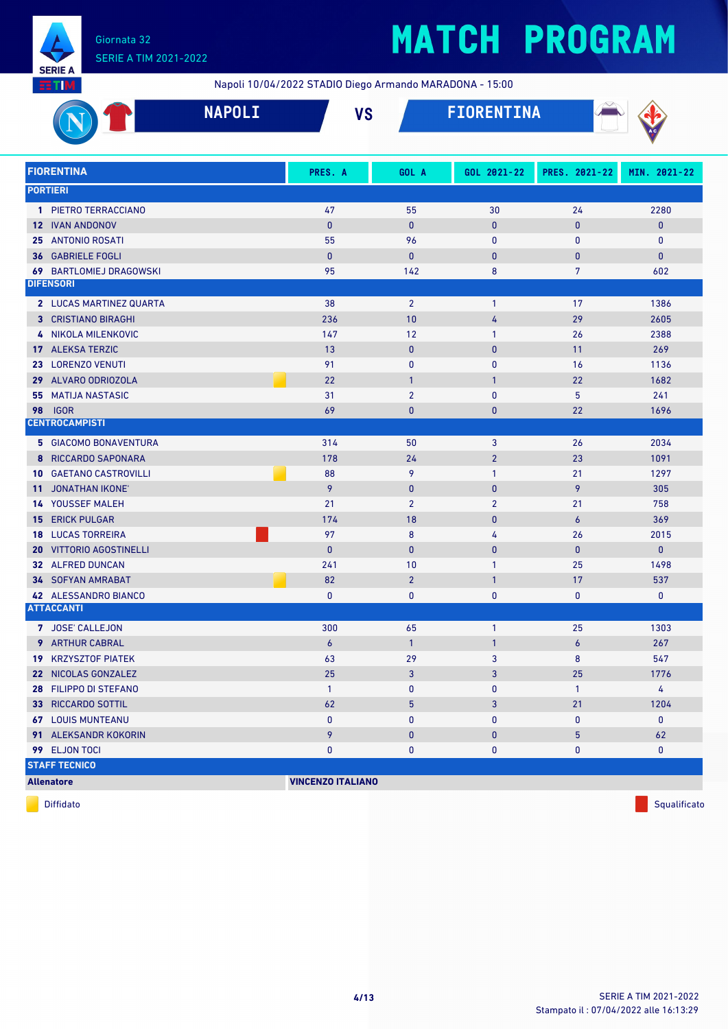

## **MATCH PROGRAM**

Napoli 10/04/2022 STADIO Diego Armando MARADONA - 15:00

|                                                  | <b>NAPOLI</b> | <b>VS</b>                |                       | <b>FIORENTINA</b> |                  |                    |
|--------------------------------------------------|---------------|--------------------------|-----------------------|-------------------|------------------|--------------------|
| <b>FIORENTINA</b>                                |               | PRES. A                  | GOL A                 | GOL 2021-22       | PRES. 2021-22    | MIN. 2021-22       |
| <b>PORTIERI</b>                                  |               |                          |                       |                   |                  |                    |
| 1 PIETRO TERRACCIANO                             |               | 47                       | 55                    | 30                | 24               | 2280               |
| <b>12 IVAN ANDONOV</b>                           |               | $\bf{0}$                 | $\mathbf{0}$          | $\mathbf{0}$      | 0                | $\mathbf 0$        |
| <b>ANTONIO ROSATI</b><br>25                      |               | 55                       | 96                    | $\mathbf{0}$      | 0                | $\mathbf 0$        |
| <b>GABRIELE FOGLI</b><br>36                      |               | $\mathbf{0}$             | $\pmb{0}$             | $\mathbf 0$       | 0                | $\pmb{0}$          |
| <b>69 BARTLOMIEJ DRAGOWSKI</b>                   |               | 95                       | 142                   | 8                 | 7                | 602                |
| <b>DIFENSORI</b>                                 |               |                          |                       |                   |                  |                    |
| 2 LUCAS MARTINEZ QUARTA                          |               | 38                       | $\overline{2}$        | $\mathbf{1}$      | 17               | 1386               |
| <b>3 CRISTIANO BIRAGHI</b>                       |               | 236                      | 10                    | 4                 | 29               | 2605               |
| NIKOLA MILENKOVIC<br>4                           |               | 147                      | 12                    | $\mathbf{1}$      | 26               | 2388               |
| 17 ALEKSA TERZIC                                 |               | 13                       | $\mathbf{0}$          | $\mathbf{0}$      | 11               | 269                |
| 23 LORENZO VENUTI                                |               | 91                       | $\mathbf{0}$          | $\mathbf{0}$      | 16               | 1136               |
| ALVARO ODRIOZOLA<br>29                           |               | 22                       | $\overline{1}$        | $\mathbf{1}$      | 22               | 1682               |
| <b>MATIJA NASTASIC</b><br>55                     |               | 31                       | $\overline{2}$        | $\mathbf{0}$      | 5                | 241                |
| <b>IGOR</b><br>98                                |               | 69                       | $\mathbf{0}$          | $\mathbf{0}$      | 22               | 1696               |
| <b>CENTROCAMPISTI</b>                            |               |                          |                       |                   |                  |                    |
| <b>5 GIACOMO BONAVENTURA</b>                     |               | 314                      | 50                    | 3                 | 26               | 2034               |
| 8 RICCARDO SAPONARA                              |               | 178                      | 24                    | $\overline{2}$    | 23               | 1091               |
| <b>10 GAETANO CASTROVILLI</b>                    |               | 88                       | 9                     | 1                 | 21               | 1297               |
| 11 JONATHAN IKONE'                               |               | 9                        | $\mathbf{0}$          | $\mathbf{0}$      | 9                | 305                |
| <b>14 YOUSSEF MALEH</b>                          |               | 21                       | $\overline{2}$        | $\overline{2}$    | 21               | 758                |
| <b>15 ERICK PULGAR</b>                           |               | 174                      | 18                    | $\mathbf{0}$      | 6                | 369                |
| <b>LUCAS TORREIRA</b><br>18                      |               | 97                       | $\boldsymbol{8}$      | 4                 | 26               | 2015               |
| <b>VITTORIO AGOSTINELLI</b><br>20                |               | $\mathbf{0}$             | $\mathbf{0}$          | $\mathbf{0}$      | 0                | 0                  |
| 32 ALFRED DUNCAN                                 |               | 241                      | 10                    | $\mathbf{1}$      | 25               | 1498               |
| <b>34 SOFYAN AMRABAT</b>                         |               | 82                       | $\overline{2}$        | $\mathbf{1}$      | 17               | 537                |
| 42 ALESSANDRO BIANCO<br><b>ATTACCANTI</b>        |               | 0                        | $\bf{0}$              | 0                 | 0                | 0                  |
|                                                  |               |                          |                       |                   |                  |                    |
| 7 JOSE' CALLEJON                                 |               | 300                      | 65                    | $\mathbf{1}$      | 25               | 1303               |
| 9 ARTHUR CABRAL                                  |               | $\pmb{6}$                | $\mathbf{1}$          | $\overline{1}$    | $\boldsymbol{6}$ | 267                |
| <b>19 KRZYSZTOF PIATEK</b>                       |               | 63                       | 29                    | 3                 | 8                | 547                |
| 22 NICOLAS GONZALEZ                              |               | 25                       | $\mathbf{3}$          | $\mathbf{3}$      | 25               | 1776               |
| 28 FILIPPO DI STEFANO                            |               | $\mathbf{1}$             | $\mathbf 0$           | $\mathbf 0$       | $\mathbf{1}$     | 4                  |
| 33 RICCARDO SOTTIL                               |               | 62                       | 5                     | 3                 | 21               | 1204               |
| <b>67 LOUIS MUNTEANU</b><br>91 ALEKSANDR KOKORIN |               | 0<br>9                   | $\bf{0}$<br>$\pmb{0}$ | 0                 | 0                | $\mathbf{0}$<br>62 |
| 99 ELJON TOCI                                    |               | 0                        | $\mathbf 0$           | $\pmb{0}$<br>0    | 5                | $\mathbf 0$        |
| <b>STAFF TECNICO</b>                             |               |                          |                       |                   | 0                |                    |
|                                                  |               | <b>VINCENZO ITALIANO</b> |                       |                   |                  |                    |
| <b>Allenatore</b>                                |               |                          |                       |                   |                  |                    |

diffidato de la contradictivitativa de la contradictivitativa de la contradictivitativa de la contradictivitativ<br>Diffidato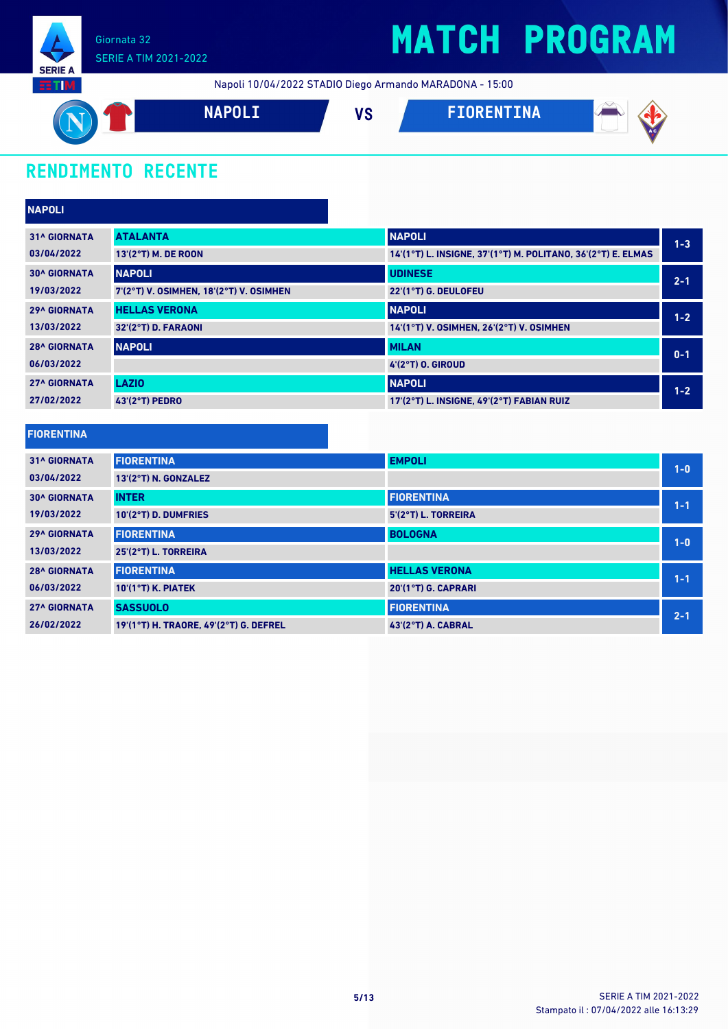

Napoli 10/04/2022 STADIO Diego Armando MARADONA - 15:00



### **RENDIMENTO RECENTE**

| <b>NAPOLI</b>       |                                         |                                                              |         |
|---------------------|-----------------------------------------|--------------------------------------------------------------|---------|
| <b>31^ GIORNATA</b> | <b>ATALANTA</b>                         | <b>NAPOLI</b>                                                | $1 - 3$ |
| 03/04/2022          | 13'(2°T) M. DE ROON                     | 14'(1°T) L. INSIGNE, 37'(1°T) M. POLITANO, 36'(2°T) E. ELMAS |         |
| <b>30^ GIORNATA</b> | <b>NAPOLI</b>                           | <b>UDINESE</b>                                               | $2 - 1$ |
| 19/03/2022          | 7'(2°T) V. OSIMHEN, 18'(2°T) V. OSIMHEN | 22'(1°T) G. DEULOFEU                                         |         |
| <b>29^ GIORNATA</b> | <b>HELLAS VERONA</b>                    | <b>NAPOLI</b>                                                | $1 - 2$ |
| 13/03/2022          | 32'(2°T) D. FARAONI                     | 14'(1°T) V. OSIMHEN, 26'(2°T) V. OSIMHEN                     |         |
| <b>28^ GIORNATA</b> | <b>NAPOLI</b>                           | <b>MILAN</b>                                                 | $0 - 1$ |
| 06/03/2022          |                                         | 4'(2°T) 0. GIROUD                                            |         |
| <b>27^ GIORNATA</b> | <b>LAZIO</b>                            | <b>NAPOLI</b>                                                | $1 - 2$ |
| 27/02/2022          | 43'(2°T) PEDRO                          | 17'(2°T) L. INSIGNE, 49'(2°T) FABIAN RUIZ                    |         |

| <b>FIORENTINA</b>   |                                        |                      |         |
|---------------------|----------------------------------------|----------------------|---------|
| <b>31^ GIORNATA</b> | <b>FIORENTINA</b>                      | <b>EMPOLI</b>        | $1 - 0$ |
| 03/04/2022          | 13'(2°T) N. GONZALEZ                   |                      |         |
| <b>30^ GIORNATA</b> | <b>INTER</b>                           | <b>FIORENTINA</b>    | $1 - 1$ |
| 19/03/2022          | 10'(2°T) D. DUMFRIES                   | 5'(2°T) L. TORREIRA  |         |
| <b>29^ GIORNATA</b> | <b>FIORENTINA</b>                      | <b>BOLOGNA</b>       | $1-0$   |
| 13/03/2022          | 25'(2°T) L. TORREIRA                   |                      |         |
| <b>28^ GIORNATA</b> | <b>FIORENTINA</b>                      | <b>HELLAS VERONA</b> | $1 - 1$ |
| 06/03/2022          | $10'(1°T)$ K. PIATEK                   | 20'(1°T) G. CAPRARI  |         |
| <b>27^ GIORNATA</b> | <b>SASSUOLO</b>                        | <b>FIORENTINA</b>    | $2 - 1$ |
| 26/02/2022          | 19'(1°T) H. TRAORE, 49'(2°T) G. DEFREL | 43'(2°T) A. CABRAL   |         |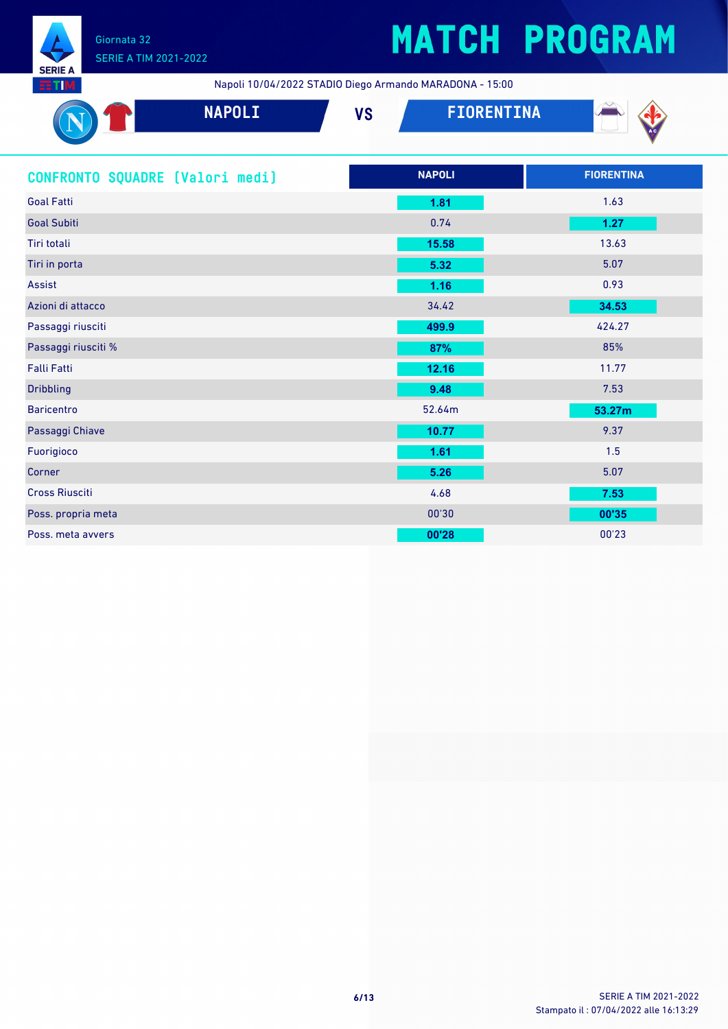

## **MATCH PROGRAM**

Napoli 10/04/2022 STADIO Diego Armando MARADONA - 15:00

| <b>SELM</b>                                                                         | Napoli 10/04/2022 31ADIO Diego Armando MARADONA - 10.00 |                   |
|-------------------------------------------------------------------------------------|---------------------------------------------------------|-------------------|
| <b>NAPOLI</b>                                                                       | <b>FIORENTINA</b><br><b>VS</b>                          |                   |
| CONFRONTO SQUADRE [Valori medi]                                                     | <b>NAPOLI</b>                                           | <b>FIORENTINA</b> |
| <b>Goal Fatti</b>                                                                   | 1.81                                                    | 1.63              |
| <b>Goal Subiti</b>                                                                  | 0.74                                                    | 1.27              |
| Tiri totali                                                                         | 15.58                                                   | 13.63             |
| Tiri in porta                                                                       | 5.32                                                    | 5.07              |
| Assist                                                                              | $1.16$                                                  | 0.93              |
| Azioni di attacco                                                                   | 34.42                                                   | 34.53             |
| Passaggi riusciti                                                                   | 499.9                                                   | 424.27            |
| Passaggi riusciti %                                                                 | 87%                                                     | 85%               |
| Falli Fatti                                                                         | 12.16                                                   | 11.77             |
| <b>Dribbling</b>                                                                    | 9.48                                                    | 7.53              |
| <b>Baricentro</b>                                                                   | 52.64m                                                  | 53.27m            |
| Passaggi Chiave                                                                     | 10.77                                                   | 9.37              |
| Fuorigioco                                                                          | 1.61                                                    | 1.5               |
| Corner                                                                              | 5.26                                                    | 5.07              |
| <b>Cross Riusciti</b>                                                               | 4.68                                                    | 7.53              |
| and the contract of the contract of the contract of the contract of the contract of | $\frac{1}{2}$                                           |                   |

Poss. propria meta 00'30 **00'35** Poss. meta avvers **00'28** 00'23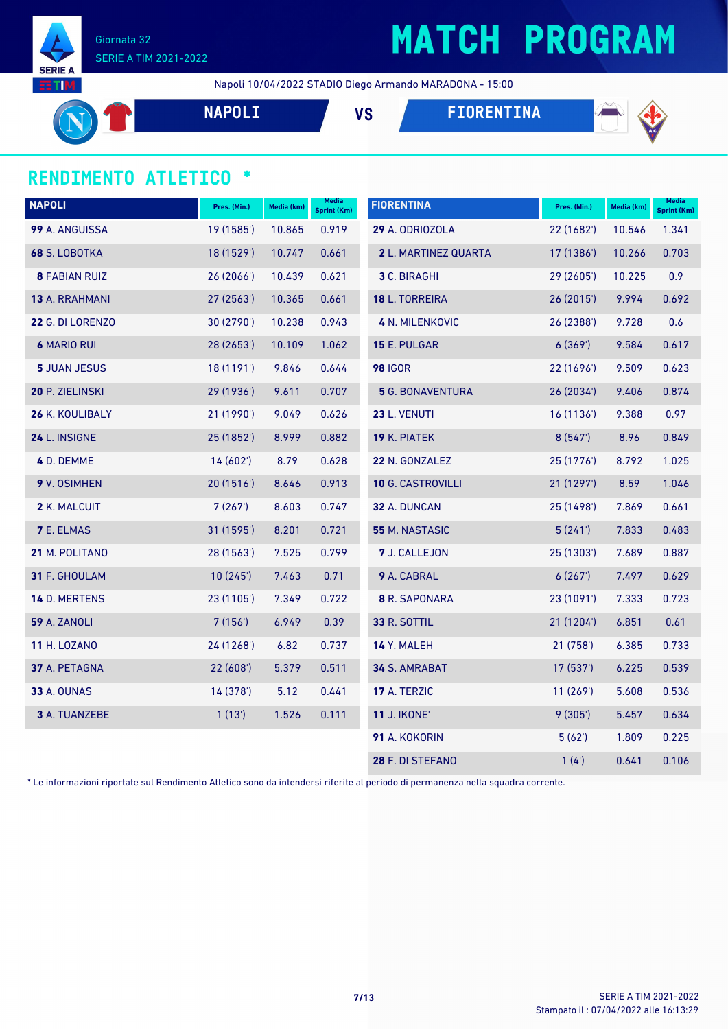

## **MATCH PROGRAM**

Napoli 10/04/2022 STADIO Diego Armando MARADONA - 15:00

**NAPOLI VS FIORENTINA**



### **RENDIMENTO ATLETICO \***

| <b>NAPOLI</b>        | Pres. (Min.) | Media (km) | <b>Media</b><br><b>Sprint (Km)</b> | <b>FIORENTINA</b>        | Pres. (Min.) | Media (km) | <b>Media</b><br><b>Sprint (Km)</b> |
|----------------------|--------------|------------|------------------------------------|--------------------------|--------------|------------|------------------------------------|
| 99 A. ANGUISSA       | 19 (1585')   | 10.865     | 0.919                              | 29 A. ODRIOZOLA          | 22 (1682')   | 10.546     | 1.341                              |
| 68 S. LOBOTKA        | 18 (1529')   | 10.747     | 0.661                              | 2 L. MARTINEZ QUARTA     | 17 (1386')   | 10.266     | 0.703                              |
| <b>8 FABIAN RUIZ</b> | 26 (2066')   | 10.439     | 0.621                              | 3 C. BIRAGHI             | 29 (2605')   | 10.225     | 0.9                                |
| 13 A. RRAHMANI       | 27 (2563')   | 10.365     | 0.661                              | 18 L. TORREIRA           | 26 (2015')   | 9.994      | 0.692                              |
| 22 G. DI LORENZO     | 30 (2790')   | 10.238     | 0.943                              | <b>4 N. MILENKOVIC</b>   | 26 (2388')   | 9.728      | 0.6                                |
| <b>6 MARIO RUI</b>   | 28 (2653')   | 10.109     | 1.062                              | 15 E. PULGAR             | 6(369)       | 9.584      | 0.617                              |
| <b>5 JUAN JESUS</b>  | 18 (1191')   | 9.846      | 0.644                              | <b>98 IGOR</b>           | 22 (1696')   | 9.509      | 0.623                              |
| 20 P. ZIELINSKI      | 29 (1936')   | 9.611      | 0.707                              | <b>5</b> G. BONAVENTURA  | 26 (2034')   | 9.406      | 0.874                              |
| 26 K. KOULIBALY      | 21 (1990')   | 9.049      | 0.626                              | 23 L. VENUTI             | 16(1136)     | 9.388      | 0.97                               |
| 24 L. INSIGNE        | 25 (1852')   | 8.999      | 0.882                              | 19 K. PIATEK             | 8(547)       | 8.96       | 0.849                              |
| 4 D. DEMME           | 14(602)      | 8.79       | 0.628                              | 22 N. GONZALEZ           | 25 (1776')   | 8.792      | 1.025                              |
| 9 V. OSIMHEN         | 20 (1516')   | 8.646      | 0.913                              | <b>10 G. CASTROVILLI</b> | 21 (1297')   | 8.59       | 1.046                              |
| 2 K. MALCUIT         | 7(267)       | 8.603      | 0.747                              | 32 A. DUNCAN             | 25 (1498')   | 7.869      | 0.661                              |
| <b>7 E. ELMAS</b>    | 31 (1595')   | 8.201      | 0.721                              | <b>55 M. NASTASIC</b>    | 5(241)       | 7.833      | 0.483                              |
| 21 M. POLITANO       | 28 (1563')   | 7.525      | 0.799                              | 7 J. CALLEJON            | 25 (1303')   | 7.689      | 0.887                              |
| 31 F. GHOULAM        | 10(245)      | 7.463      | 0.71                               | 9 A. CABRAL              | 6(267)       | 7.497      | 0.629                              |
| 14 D. MERTENS        | 23 (1105')   | 7.349      | 0.722                              | <b>8</b> R. SAPONARA     | 23 (1091')   | 7.333      | 0.723                              |
| <b>59 A. ZANOLI</b>  | 7(156)       | 6.949      | 0.39                               | 33 R. SOTTIL             | 21 (1204')   | 6.851      | 0.61                               |
| <b>11 H. LOZANO</b>  | 24 (1268')   | 6.82       | 0.737                              | 14 Y. MALEH              | 21(758)      | 6.385      | 0.733                              |
| 37 A. PETAGNA        | 22(608)      | 5.379      | 0.511                              | <b>34 S. AMRABAT</b>     | 17(537)      | 6.225      | 0.539                              |
| <b>33 A. OUNAS</b>   | 14 (378')    | 5.12       | 0.441                              | 17 A. TERZIC             | 11(269)      | 5.608      | 0.536                              |
| 3 A. TUANZEBE        | 1(13')       | 1.526      | 0.111                              | <b>11 J. IKONE'</b>      | 9(305)       | 5.457      | 0.634                              |
|                      |              |            |                                    | 91 A. KOKORIN            | 5(62)        | 1.809      | 0.225                              |
|                      |              |            |                                    | 28 F. DI STEFANO         | 1(4)         | 0.641      | 0.106                              |

\* Le informazioni riportate sul Rendimento Atletico sono da intendersi riferite al periodo di permanenza nella squadra corrente.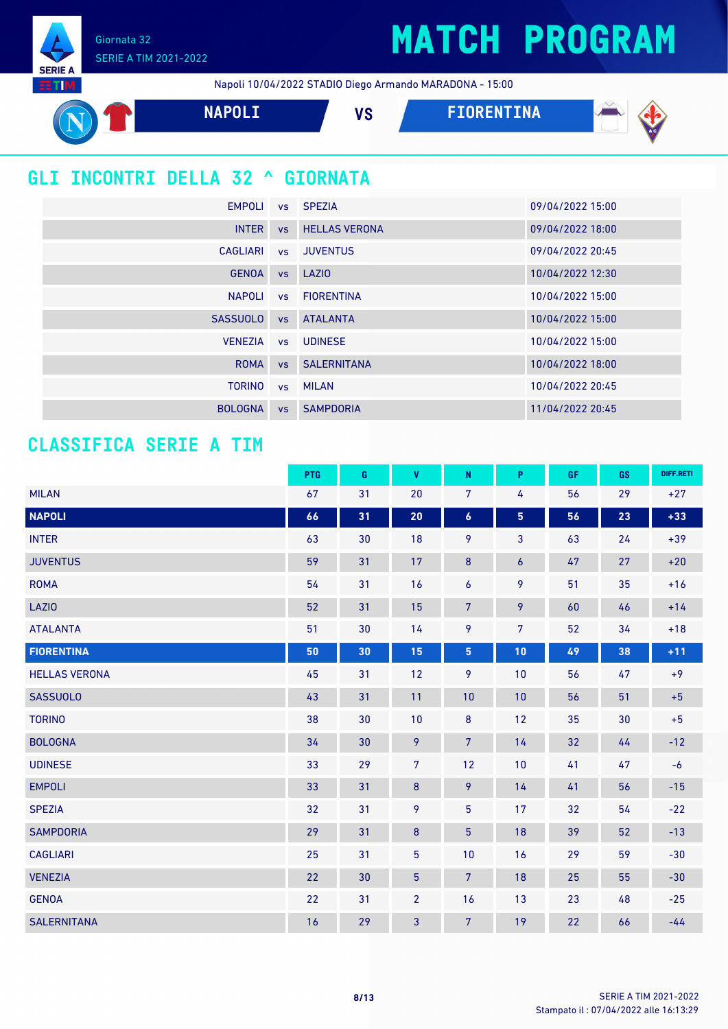Giornata 32 SERIE A TIM 2021-2022

**SERIE A EETIM** 

Napoli 10/04/2022 STADIO Diego Armando MARADONA - 15:00



### **GLI INCONTRI DELLA 32 ^ GIORNATA**

| EMPOLI          |           | vs SPEZIA             | 09/04/2022 15:00 |
|-----------------|-----------|-----------------------|------------------|
| <b>INTER</b>    | <b>VS</b> | <b>HELLAS VERONA</b>  | 09/04/2022 18:00 |
| CAGLIARI        |           | vs JUVENTUS           | 09/04/2022 20:45 |
| <b>GENOA</b>    |           | vs LAZIO              | 10/04/2022 12:30 |
| <b>NAPOLI</b>   |           | vs FIORENTINA         | 10/04/2022 15:00 |
| <b>SASSUOLO</b> | VS        | <b>ATALANTA</b>       | 10/04/2022 15:00 |
| <b>VENEZIA</b>  |           | vs UDINESE            | 10/04/2022 15:00 |
| <b>ROMA</b>     |           | <b>vs</b> SALERNITANA | 10/04/2022 18:00 |
| <b>TORINO</b>   |           | vs MILAN              | 10/04/2022 20:45 |
| <b>BOLOGNA</b>  | <b>VS</b> | <b>SAMPDORIA</b>      | 11/04/2022 20:45 |

### **CLASSIFICA SERIE A TIM**

|                      | PTG | G  | V              | N                | P              | GF | GS | DIFF.RETI |
|----------------------|-----|----|----------------|------------------|----------------|----|----|-----------|
| <b>MILAN</b>         | 67  | 31 | 20             | $\overline{7}$   | 4              | 56 | 29 | $+27$     |
| <b>NAPOLI</b>        | 66  | 31 | 20             | $\boldsymbol{6}$ | 5              | 56 | 23 | $+33$     |
| <b>INTER</b>         | 63  | 30 | 18             | 9                | $\mathbf{3}$   | 63 | 24 | $+39$     |
| <b>JUVENTUS</b>      | 59  | 31 | 17             | 8                | 6              | 47 | 27 | $+20$     |
| <b>ROMA</b>          | 54  | 31 | 16             | 6                | 9              | 51 | 35 | $+16$     |
| <b>LAZIO</b>         | 52  | 31 | 15             | $\overline{7}$   | 9              | 60 | 46 | $+14$     |
| <b>ATALANTA</b>      | 51  | 30 | 14             | 9                | $\overline{7}$ | 52 | 34 | $+18$     |
| <b>FIORENTINA</b>    | 50  | 30 | 15             | 5                | 10             | 49 | 38 | $+11$     |
| <b>HELLAS VERONA</b> | 45  | 31 | 12             | 9                | 10             | 56 | 47 | $+9$      |
| <b>SASSUOLO</b>      | 43  | 31 | 11             | 10               | 10             | 56 | 51 | $+5$      |
| <b>TORINO</b>        | 38  | 30 | 10             | $\bf 8$          | 12             | 35 | 30 | $+5$      |
| <b>BOLOGNA</b>       | 34  | 30 | 9              | 7 <sup>5</sup>   | 14             | 32 | 44 | $-12$     |
| <b>UDINESE</b>       | 33  | 29 | $\overline{7}$ | 12               | 10             | 41 | 47 | $-6$      |
| <b>EMPOLI</b>        | 33  | 31 | $\bf 8$        | 9                | 14             | 41 | 56 | $-15$     |
| <b>SPEZIA</b>        | 32  | 31 | 9              | 5                | 17             | 32 | 54 | $-22$     |
| <b>SAMPDORIA</b>     | 29  | 31 | $\bf 8$        | $\overline{5}$   | 18             | 39 | 52 | $-13$     |
| <b>CAGLIARI</b>      | 25  | 31 | $\overline{5}$ | 10               | 16             | 29 | 59 | $-30$     |
| <b>VENEZIA</b>       | 22  | 30 | $\overline{5}$ | $\overline{7}$   | 18             | 25 | 55 | $-30$     |
| <b>GENOA</b>         | 22  | 31 | $\overline{2}$ | 16               | 13             | 23 | 48 | $-25$     |
| <b>SALERNITANA</b>   | 16  | 29 | 3              | $\overline{7}$   | 19             | 22 | 66 | $-44$     |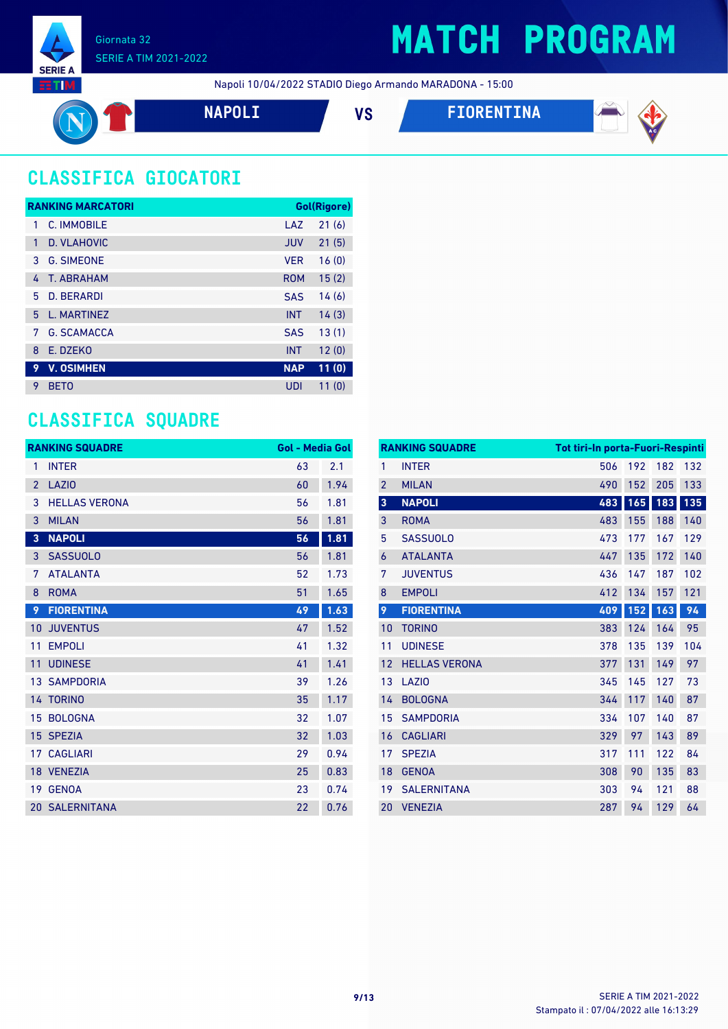

### **MATCH PROGRAM**

Napoli 10/04/2022 STADIO Diego Armando MARADONA - 15:00

$$
\mathbf{O}^{\mathbf{T}}
$$

**NAPOLI VS FIORENTINA**



### **CLASSIFICA GIOCATORI**

|    | <b>RANKING MARCATORI</b> |            | Gol(Rigore) |
|----|--------------------------|------------|-------------|
| 1  | C. IMMOBILE              | LAZ        | 21(6)       |
| 1  | D. VLAHOVIC              | <b>JUV</b> | 21(5)       |
| 3  | <b>G. SIMEONE</b>        | <b>VFR</b> | 16(0)       |
| 4  | <b>T. ABRAHAM</b>        | <b>ROM</b> | 15(2)       |
| 5. | <b>D. BERARDI</b>        | <b>SAS</b> | 14(6)       |
| 5  | L. MARTINEZ              | <b>INT</b> | 14(3)       |
| 7  | <b>G. SCAMACCA</b>       | <b>SAS</b> | 13(1)       |
| 8  | E. DZEKO                 | <b>INT</b> | 12(0)       |
| 9  | <b>V. OSIMHEN</b>        | <b>NAP</b> | 11(0)       |
| 9  | <b>BETO</b>              | UDI        | 11(0)       |

### **CLASSIFICA SQUADRE**

|                | <b>RANKING SQUADRE</b> | <b>Gol - Media Gol</b> |      |
|----------------|------------------------|------------------------|------|
| 1              | <b>INTER</b>           | 63                     | 2.1  |
| $\overline{2}$ | LAZI <sub>0</sub>      | 60                     | 1.94 |
| 3              | <b>HELLAS VERONA</b>   | 56                     | 1.81 |
| 3              | <b>MILAN</b>           | 56                     | 1.81 |
| 3              | <b>NAPOLI</b>          | 56                     | 1.81 |
| 3              | <b>SASSUOLO</b>        | 56                     | 1.81 |
| 7              | <b>ATALANTA</b>        | 52                     | 1.73 |
| 8              | <b>ROMA</b>            | 51                     | 1.65 |
| 9              | <b>FIORENTINA</b>      | 49                     | 1.63 |
|                | <b>10 JUVENTUS</b>     | 47                     | 1.52 |
| 11             | <b>EMPOLI</b>          | 41                     | 1.32 |
| 11             | <b>UDINESE</b>         | 41                     | 1.41 |
|                | <b>13 SAMPDORIA</b>    | 39                     | 1.26 |
|                | 14 TORINO              | 35                     | 1.17 |
|                | 15 BOLOGNA             | 32                     | 1.07 |
|                | 15 SPEZIA              | 32                     | 1.03 |
|                | 17 CAGLIARI            | 29                     | 0.94 |
|                | 18 VENEZIA             | 25                     | 0.83 |
| 19             | <b>GENOA</b>           | 23                     | 0.74 |
|                | <b>20 SALERNITANA</b>  | 22                     | 0.76 |

|                         | <b>RANKING SQUADRE</b> |     | <b>Tot tiri-In porta-Fuori-Respinti</b> |     |     |  |
|-------------------------|------------------------|-----|-----------------------------------------|-----|-----|--|
| 1                       | <b>INTER</b>           | 506 | 192                                     | 182 | 132 |  |
| $\overline{2}$          | <b>MILAN</b>           | 490 | 152                                     | 205 | 133 |  |
| $\overline{\mathbf{3}}$ | <b>NAPOLI</b>          | 483 | 165                                     | 183 | 135 |  |
| 3                       | <b>ROMA</b>            | 483 | 155                                     | 188 | 140 |  |
| 5                       | <b>SASSUOLO</b>        | 473 | 177                                     | 167 | 129 |  |
| 6                       | <b>ATALANTA</b>        | 447 | 135                                     | 172 | 140 |  |
| 7                       | <b>JUVENTUS</b>        | 436 | 147                                     | 187 | 102 |  |
| 8                       | <b>EMPOLI</b>          | 412 | 134                                     | 157 | 121 |  |
| 9                       | <b>FIORENTINA</b>      | 409 | 152                                     | 163 | 94  |  |
| 10                      | <b>TORINO</b>          | 383 | 124                                     | 164 | 95  |  |
| 11                      | <b>UDINESE</b>         | 378 | 135                                     | 139 | 104 |  |
| 12                      | <b>HELLAS VERONA</b>   | 377 | 131                                     | 149 | 97  |  |
| 13                      | LAZI <sub>0</sub>      | 345 | 145                                     | 127 | 73  |  |
| 14                      | <b>BOLOGNA</b>         | 344 | 117                                     | 140 | 87  |  |
| 15                      | <b>SAMPDORIA</b>       | 334 | 107                                     | 140 | 87  |  |
| 16                      | <b>CAGLIARI</b>        | 329 | 97                                      | 143 | 89  |  |
| 17                      | <b>SPEZIA</b>          | 317 | 111                                     | 122 | 84  |  |
| 18                      | <b>GENOA</b>           | 308 | 90                                      | 135 | 83  |  |
| 19                      | <b>SALERNITANA</b>     | 303 | 94                                      | 121 | 88  |  |
| 20                      | <b>VENEZIA</b>         | 287 | 94                                      | 129 | 64  |  |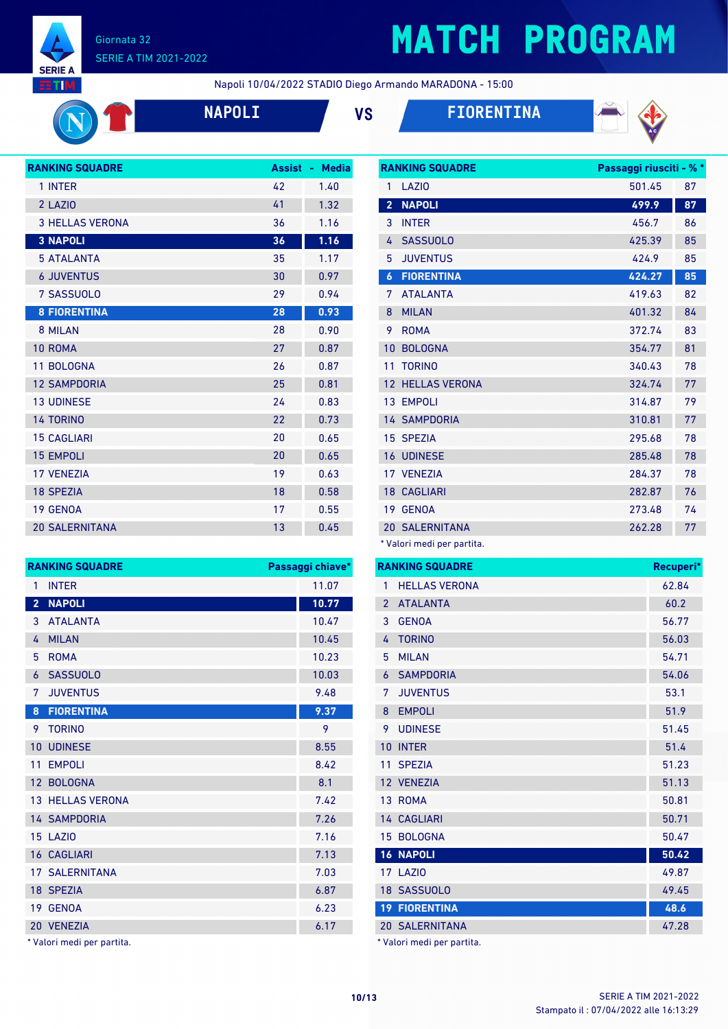

## **MATCH PROGRAM**

**RANKING SQUADRE Passaggi riusciti - % \***

Napoli 10/04/2022 STADIO Diego Armando MARADONA - 15:00



**NAPOLI VS FIORENTINA**





| <b>RANKING SQUADRE</b> | <b>Assist</b> | <b>Media</b><br>٠ |
|------------------------|---------------|-------------------|
| 1 INTER                | 42            | 1.40              |
| 2 LAZIO                | 41            | 1.32              |
| <b>3 HELLAS VERONA</b> | 36            | 1.16              |
| <b>3 NAPOLI</b>        | 36            | 1.16              |
| <b>5 ATALANTA</b>      | 35            | 1.17              |
| <b>6 JUVENTUS</b>      | 30            | 0.97              |
| 7 SASSUOLO             | 29            | 0.94              |
| <b>8 FIORENTINA</b>    | 28            | 0.93              |
| 8 MILAN                | 28            | 0.90              |
| 10 ROMA                | 27            | 0.87              |
| 11 BOLOGNA             | 26            | 0.87              |
| <b>12 SAMPDORIA</b>    | 25            | 0.81              |
| <b>13 UDINESE</b>      | 24            | 0.83              |
| <b>14 TORINO</b>       | 22            | 0.73              |
| <b>15 CAGLIARI</b>     | 20            | 0.65              |
| <b>15 EMPOLI</b>       | 20            | 0.65              |
| <b>17 VENEZIA</b>      | 19            | 0.63              |
| <b>18 SPEZIA</b>       | 18            | 0.58              |
| 19 GENOA               | 17            | 0.55              |
| <b>20 SALERNITANA</b>  | 13            | 0.45              |

**RANKING SQUADRE Passaggi chiave\*** 1 INTER 11.07 **NAPOLI 10.77** ATALANTA 10.47 MILAN 10.45 ROMA 10.23 SASSUOLO 10.03 JUVENTUS 9.48

| 1                | LAZI <sub>0</sub>     | 501.45 | 87 |
|------------------|-----------------------|--------|----|
| $\overline{2}$   | <b>NAPOLI</b>         | 499.9  | 87 |
| 3                | <b>INTER</b>          | 456.7  | 86 |
| 4                | <b>SASSUOLO</b>       | 425.39 | 85 |
| 5                | <b>JUVENTUS</b>       | 424.9  | 85 |
| $\boldsymbol{6}$ | <b>FIORENTINA</b>     | 424.27 | 85 |
| 7                | <b>ATALANTA</b>       | 419.63 | 82 |
| 8                | <b>MILAN</b>          | 401.32 | 84 |
| 9                | <b>ROMA</b>           | 372.74 | 83 |
| 10               | <b>BOLOGNA</b>        | 354.77 | 81 |
| 11               | <b>TORINO</b>         | 340.43 | 78 |
| 12               | <b>HELLAS VERONA</b>  | 324.74 | 77 |
| 13               | <b>EMPOLI</b>         | 314.87 | 79 |
|                  | <b>14 SAMPDORIA</b>   | 310.81 | 77 |
| 15               | <b>SPEZIA</b>         | 295.68 | 78 |
| 16               | <b>UDINESE</b>        | 285.48 | 78 |
|                  | 17 VENEZIA            | 284.37 | 78 |
|                  | <b>18 CAGLIARI</b>    | 282.87 | 76 |
|                  | 19 GENOA              | 273.48 | 74 |
|                  | <b>20 SALERNITANA</b> | 262.28 | 77 |

\* Valori medi per partita.

|                 | <b>RANKING SQUADRE</b> | Recuperi* |
|-----------------|------------------------|-----------|
| 1               | <b>HELLAS VERONA</b>   | 62.84     |
| $\mathfrak{p}$  | <b>ATALANTA</b>        | 60.2      |
| 3               | <b>GENOA</b>           | 56.77     |
| 4               | <b>TORINO</b>          | 56.03     |
| 5               | <b>MILAN</b>           | 54.71     |
| 6               | <b>SAMPDORIA</b>       | 54.06     |
| 7               | <b>JUVENTUS</b>        | 53.1      |
| 8               | <b>EMPOLI</b>          | 51.9      |
| 9               | <b>UDINESE</b>         | 51.45     |
| 10              | <b>INTER</b>           | 51.4      |
| 11              | <b>SPEZIA</b>          | 51.23     |
|                 | 12 VENEZIA             | 51.13     |
|                 | 13 ROMA                | 50.81     |
|                 | 14 CAGLIARI            | 50.71     |
| 15              | <b>BOLOGNA</b>         | 50.47     |
|                 | <b>16 NAPOLI</b>       | 50.42     |
|                 | <b>17 LAZIO</b>        | 49.87     |
|                 | 18 SASSUOLO            | 49.45     |
| 19 <sup>°</sup> | <b>FIORENTINA</b>      | 48.6      |
|                 | <b>20 SALERNITANA</b>  | 47.28     |

\* Valori medi per partita.

| 8 | <b>FIORENTINA</b>       | 9.37 |
|---|-------------------------|------|
|   | 9 TORINO                | 9    |
|   | 10 UDINESE              | 8.55 |
|   | 11 EMPOLI               | 8.42 |
|   | 12 BOLOGNA              | 8.1  |
|   | <b>13 HELLAS VERONA</b> | 7.42 |
|   | <b>14 SAMPDORIA</b>     | 7.26 |
|   | <b>15 LAZIO</b>         | 7.16 |
|   | <b>16 CAGLIARI</b>      | 7.13 |
|   | <b>17 SALERNITANA</b>   | 7.03 |
|   | 18 SPEZIA               | 6.87 |
|   | 19 GENOA                | 6.23 |
|   | 20 VENEZIA              | 6.17 |
|   |                         |      |

\* Valori medi per partita.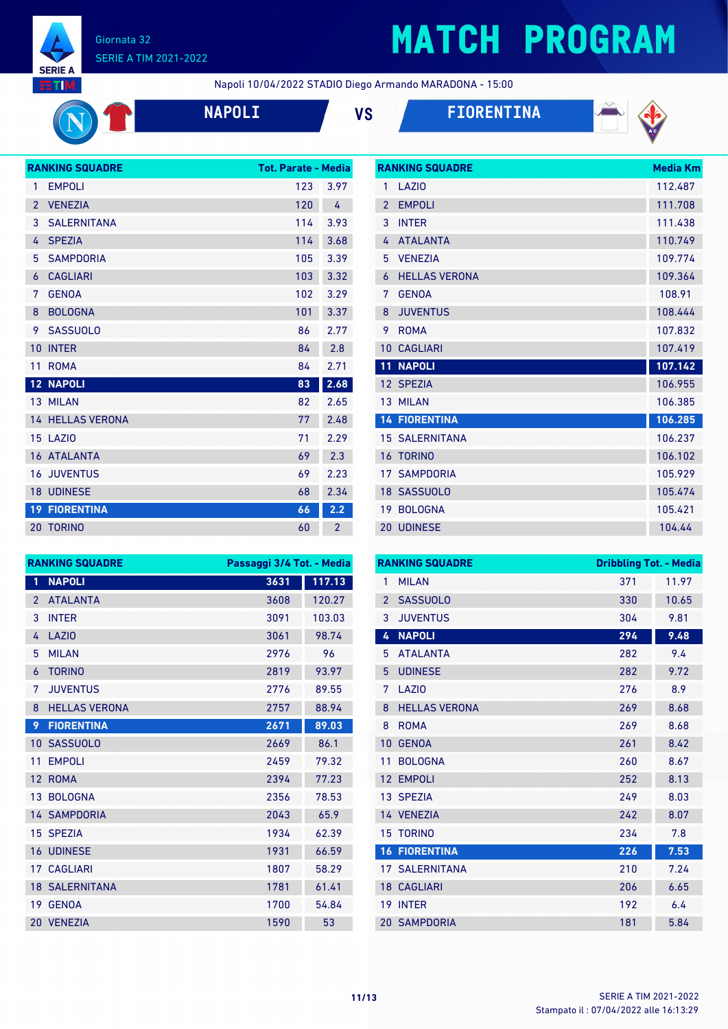

## **MATCH PROGRAM**

**RANKING SQUADRE Media Km** 

Napoli 10/04/2022 STADIO Diego Armando MARADONA - 15:00

| <b>NAPOL</b> |  |
|--------------|--|
|              |  |





|                 | <b>RANKING SQUADRE</b>  | <b>Tot. Parate - Media</b> |                |
|-----------------|-------------------------|----------------------------|----------------|
| 1               | <b>EMPOLI</b>           | 123                        | 3.97           |
| $\overline{2}$  | <b>VENEZIA</b>          | 120                        | 4              |
| 3               | <b>SALERNITANA</b>      | 114                        | 3.93           |
| 4               | <b>SPEZIA</b>           | 114                        | 3.68           |
| 5               | <b>SAMPDORIA</b>        | 105                        | 3.39           |
| 6               | <b>CAGLIARI</b>         | 103                        | 3.32           |
| 7               | <b>GENOA</b>            | 102                        | 3.29           |
| 8               | <b>BOLOGNA</b>          | 101                        | 3.37           |
| 9               | <b>SASSUOLO</b>         | 86                         | 2.77           |
| 10              | <b>INTER</b>            | 84                         | 2.8            |
| 11              | <b>ROMA</b>             | 84                         | 2.71           |
| 12 <sup>7</sup> | <b>NAPOLI</b>           | 83                         | 2.68           |
|                 | 13 MILAN                | 82                         | 2.65           |
|                 | <b>14 HELLAS VERONA</b> | 77                         | 2.48           |
|                 | <b>15 LAZIO</b>         | 71                         | 2.29           |
|                 | <b>16 ATALANTA</b>      | 69                         | 2.3            |
| 16              | <b>JUVENTUS</b>         | 69                         | 2.23           |
|                 | <b>18 UDINESE</b>       | 68                         | 2.34           |
| 19 <sup>°</sup> | <b>FIORENTINA</b>       | 66                         | 2.2            |
|                 | <b>20 TORINO</b>        | 60                         | $\overline{2}$ |

| 1                        | <b>LA710</b>          | 112.487 |
|--------------------------|-----------------------|---------|
| $\overline{\phantom{a}}$ | <b>EMPOLI</b>         | 111.708 |
| 3                        | <b>INTFR</b>          | 111.438 |
| 4                        | <b>ATALANTA</b>       | 110.749 |
| 5                        | <b>VENEZIA</b>        | 109.774 |
| $\overline{6}$           | <b>HELLAS VERONA</b>  | 109.364 |
| 7                        | <b>GFNOA</b>          | 108.91  |
| 8                        | <b>JUVENTUS</b>       | 108.444 |
| 9                        | <b>ROMA</b>           | 107.832 |
| 10                       | <b>CAGLIARI</b>       | 107.419 |
|                          |                       |         |
| $\overline{1}1$          | <b>NAPOLI</b>         | 107.142 |
|                          | 12 SPEZIA             | 106.955 |
| 13                       | <b>MII AN</b>         | 106.385 |
|                          | <b>14 FIORENTINA</b>  | 106.285 |
|                          | <b>15 SALERNITANA</b> | 106.237 |
| 16                       | <b>TORINO</b>         | 106.102 |
| 17 <sup>1</sup>          | <b>SAMPDORIA</b>      | 105.929 |
| 18                       | <b>SASSUOLO</b>       | 105.474 |
| 19                       | <b>BOLOGNA</b>        | 105.421 |

| <b>RANKING SQUADRE</b> |                       | Passaggi 3/4 Tot. - Media |        |
|------------------------|-----------------------|---------------------------|--------|
| 1                      | <b>NAPOLI</b>         | 3631                      | 117.13 |
| $\overline{2}$         | <b>ATALANTA</b>       | 3608                      | 120.27 |
| 3                      | <b>INTER</b>          | 3091                      | 103.03 |
| 4                      | LAZIO                 | 3061                      | 98.74  |
| 5                      | <b>MILAN</b>          | 2976                      | 96     |
| 6                      | <b>TORINO</b>         | 2819                      | 93.97  |
| 7                      | <b>JUVENTUS</b>       | 2776                      | 89.55  |
| 8                      | <b>HELLAS VERONA</b>  | 2757                      | 88.94  |
| 9                      | <b>FIORENTINA</b>     | 2671                      | 89.03  |
| $10-1$                 | <b>SASSUOLO</b>       | 2669                      | 86.1   |
| 11                     | <b>EMPOLI</b>         | 2459                      | 79.32  |
| 12 <sup>°</sup>        | <b>ROMA</b>           | 2394                      | 77.23  |
| 13 <sup>7</sup>        | <b>BOLOGNA</b>        | 2356                      | 78.53  |
|                        | <b>14 SAMPDORIA</b>   | 2043                      | 65.9   |
| 15 <sup>1</sup>        | <b>SPEZIA</b>         | 1934                      | 62.39  |
|                        | <b>16 UDINESE</b>     | 1931                      | 66.59  |
| 17 <sup>2</sup>        | <b>CAGLIARI</b>       | 1807                      | 58.29  |
|                        | <b>18 SALERNITANA</b> | 1781                      | 61.41  |
| 19                     | <b>GENOA</b>          | 1700                      | 54.84  |
|                        | 20 VENEZIA            | 1590                      | 53     |

|                | <b>RANKING SQUADRE</b> | <b>Dribbling Tot. - Media</b> |       |
|----------------|------------------------|-------------------------------|-------|
| 1              | <b>MILAN</b>           | 371                           | 11.97 |
| $\overline{2}$ | <b>SASSUOLO</b>        | 330                           | 10.65 |
| 3              | <b>JUVENTUS</b>        | 304                           | 9.81  |
| 4              | <b>NAPOLI</b>          | 294                           | 9.48  |
| 5              | <b>ATALANTA</b>        | 282                           | 9.4   |
| 5              | <b>UDINESE</b>         | 282                           | 9.72  |
| 7              | LAZI <sub>0</sub>      | 276                           | 8.9   |
| 8              | <b>HELLAS VERONA</b>   | 269                           | 8.68  |
| 8              | <b>ROMA</b>            | 269                           | 8.68  |
| 10             | <b>GENOA</b>           | 261                           | 8.42  |
| 11             | <b>BOLOGNA</b>         | 260                           | 8.67  |
| 12             | <b>EMPOLI</b>          | 252                           | 8.13  |
|                | 13 SPEZIA              | 249                           | 8.03  |
|                | 14 VENEZIA             | 242                           | 8.07  |
| 15             | <b>TORINO</b>          | 234                           | 7.8   |
|                | <b>16 FIORENTINA</b>   | 226                           | 7.53  |
|                | <b>17 SALERNITANA</b>  | 210                           | 7.24  |
|                | <b>18 CAGLIARI</b>     | 206                           | 6.65  |
| 19             | <b>INTER</b>           | 192                           | 6.4   |
|                | <b>20 SAMPDORIA</b>    | 181                           | 5.84  |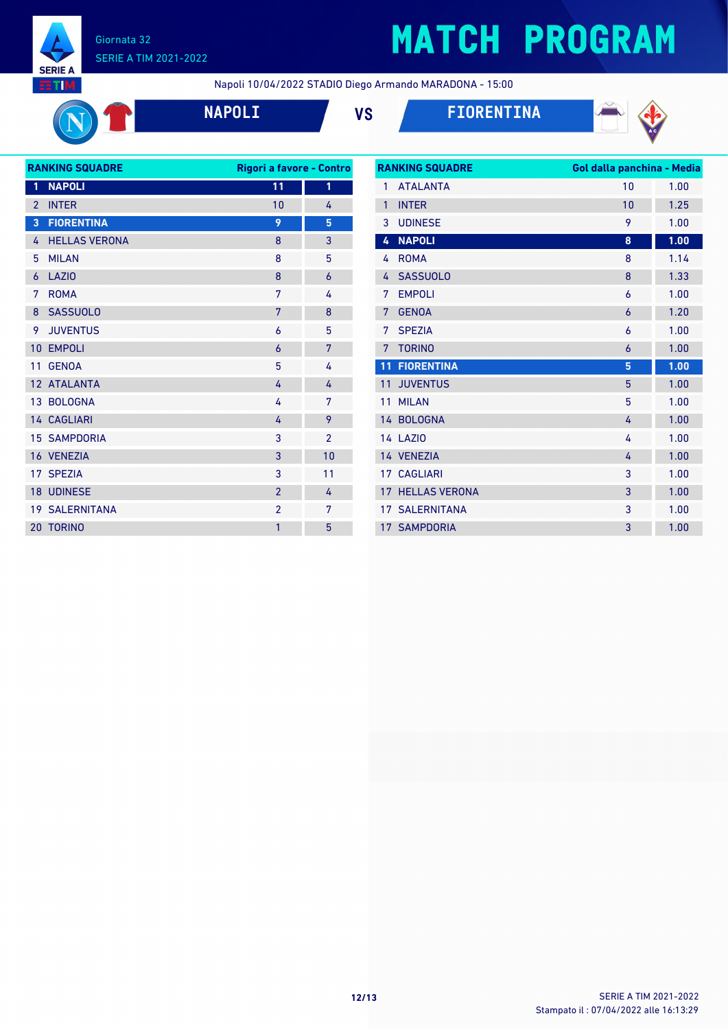

# **MATCH PROGRAM**

Napoli 10/04/2022 STADIO Diego Armando MARADONA - 15:00



**NAPOLI VS FIORENTINA**



| <b>RANKING SQUADRE</b> |                       | Rigori a favore - Contro |                |
|------------------------|-----------------------|--------------------------|----------------|
| 1                      | <b>NAPOLI</b>         | 11                       | 1              |
| $\overline{2}$         | <b>INTER</b>          | 10                       | 4              |
| 3                      | <b>FIORENTINA</b>     | 9                        | 5              |
| 4                      | <b>HELLAS VERONA</b>  | 8                        | 3              |
| 5                      | <b>MILAN</b>          | 8                        | 5              |
| 6                      | <b>LAZIO</b>          | 8                        | 6              |
| 7                      | <b>ROMA</b>           | 7                        | 4              |
| 8                      | <b>SASSUOLO</b>       | 7                        | 8              |
| 9                      | <b>JUVENTUS</b>       | 6                        | 5              |
| 10                     | <b>EMPOLI</b>         | 6                        | 7              |
| 11                     | <b>GENOA</b>          | 5                        | 4              |
|                        | 12 ATALANTA           | 4                        | 4              |
|                        | 13 BOLOGNA            | 4                        | 7              |
|                        | 14 CAGLIARI           | 4                        | 9              |
|                        | <b>15 SAMPDORIA</b>   | 3                        | $\overline{2}$ |
|                        | 16 VENEZIA            | 3                        | 10             |
|                        | 17 SPEZIA             | 3                        | 11             |
|                        | <b>18 UDINESE</b>     | $\overline{2}$           | 4              |
|                        | <b>19 SALERNITANA</b> | $\overline{2}$           | 7              |
| 20                     | <b>TORINO</b>         | 1                        | 5              |
|                        |                       |                          |                |

|                 | <b>RANKING SQUADRE</b> | Gol dalla panchina - Media |      |
|-----------------|------------------------|----------------------------|------|
| 1               | <b>ATAI ANTA</b>       | 10                         | 1.00 |
| $\mathbf{1}$    | <b>INTER</b>           | 10                         | 1.25 |
| 3               | <b>UDINESE</b>         | 9                          | 1.00 |
| 4               | <b>NAPOLI</b>          | 8                          | 1.00 |
| 4               | <b>ROMA</b>            | 8                          | 1.14 |
| 4               | <b>SASSUOLO</b>        | 8                          | 1.33 |
| 7               | <b>EMPOLI</b>          | 6                          | 1.00 |
| 7               | <b>GENOA</b>           | 6                          | 1.20 |
| 7               | <b>SPEZIA</b>          | 6                          | 1.00 |
| 7               | <b>TORINO</b>          | 6                          | 1.00 |
| 11              | <b>FIORENTINA</b>      | 5                          | 1.00 |
| 11              | <b>JUVENTUS</b>        | 5                          | 1.00 |
| 11              | <b>MII AN</b>          | 5                          | 1.00 |
| 14 <sup>1</sup> | <b>BOLOGNA</b>         | 4                          | 1.00 |
|                 | <b>14 LAZIO</b>        | 4                          | 1.00 |
|                 | 14 VENEZIA             | 4                          | 1.00 |
|                 | <b>17 CAGLIARI</b>     | 3                          | 1.00 |
| 17              | <b>HELLAS VERONA</b>   | 3                          | 1.00 |
|                 | <b>17 SALERNITANA</b>  | 3                          | 1.00 |
|                 | <b>17 SAMPDORIA</b>    | 3                          | 1.00 |